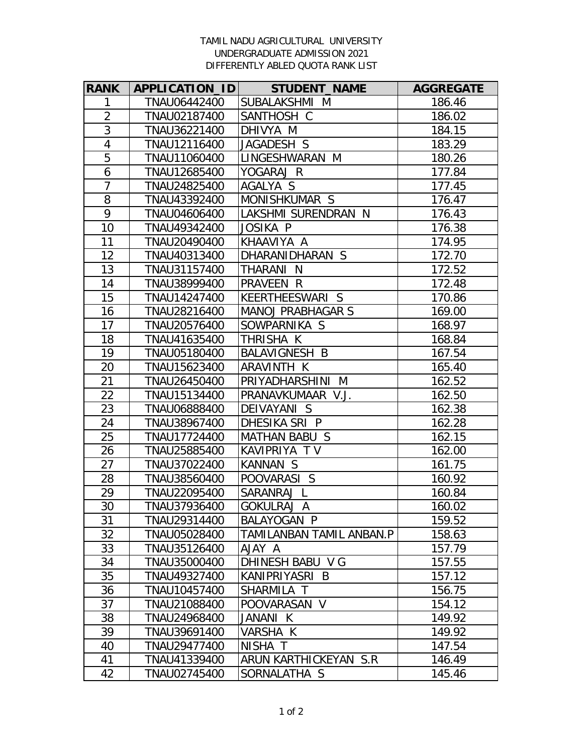## TAMIL NADU AGRICULTURAL UNIVERSITY UNDERGRADUATE ADMISSION 2021 DIFFERENTLY ABLED QUOTA RANK LIST

| <b>RANK</b>    | APPLICATION_ID | <b>STUDENT NAME</b>      | <b>AGGREGATE</b> |
|----------------|----------------|--------------------------|------------------|
| 1              | TNAU06442400   | SUBALAKSHMI M            | 186.46           |
| $\overline{2}$ | TNAU02187400   | SANTHOSH C               | 186.02           |
| $\overline{3}$ | TNAU36221400   | DHIVYA M                 | 184.15           |
| $\overline{4}$ | TNAU12116400   | JAGADESH S               | 183.29           |
| $\overline{5}$ | TNAU11060400   | LINGESHWARAN M           | 180.26           |
| 6              | TNAU12685400   | YOGARAJ R                | 177.84           |
| $\overline{7}$ | TNAU24825400   | AGALYA S                 | 177.45           |
| 8              | TNAU43392400   | MONISHKUMAR S            | 176.47           |
| 9              | TNAU04606400   | LAKSHMI SURENDRAN N      | 176.43           |
| 10             | TNAU49342400   | JOSIKA P                 | 176.38           |
| 11             | TNAU20490400   | KHAAVIYA A               | 174.95           |
| 12             | TNAU40313400   | DHARANIDHARAN S          | 172.70           |
| 13             | TNAU31157400   | THARANI N                | 172.52           |
| 14             | TNAU38999400   | PRAVEEN R                | 172.48           |
| 15             | TNAU14247400   | KEERTHEESWARI S          | 170.86           |
| 16             | TNAU28216400   | <b>MANOJ PRABHAGAR S</b> | 169.00           |
| 17             | TNAU20576400   | SOWPARNIKA S             | 168.97           |
| 18             | TNAU41635400   | THRISHA K                | 168.84           |
| 19             | TNAU05180400   | BALAVIGNESH B            | 167.54           |
| 20             | TNAU15623400   | ARAVINTH K               | 165.40           |
| 21             | TNAU26450400   | PRIYADHARSHINI M         | 162.52           |
| 22             | TNAU15134400   | PRANAVKUMAAR V.J.        | 162.50           |
| 23             | TNAU06888400   | DEIVAYANI S              | 162.38           |
| 24             | TNAU38967400   | DHESIKA SRI P            | 162.28           |
| 25             | TNAU17724400   | MATHAN BABU S            | 162.15           |
| 26             | TNAU25885400   | KAVIPRIYA TV             | 162.00           |
| 27             | TNAU37022400   | KANNAN S                 | 161.75           |
| 28             | TNAU38560400   | POOVARASI S              | 160.92           |
| 29             | TNAU22095400   | SARANRAJ L               | 160.84           |
| 30             | TNAU37936400   | GOKULRAJ A               | 160.02           |
| 31             | TNAU29314400   | BALAYOGAN P              | 159.52           |
| 32             | TNAU05028400   | TAMILANBAN TAMIL ANBAN.P | 158.63           |
| 33             | TNAU35126400   | AJAY A                   | 157.79           |
| 34             | TNAU35000400   | DHINESH BABU V G         | 157.55           |
| 35             | TNAU49327400   | KANIPRIYASRI B           | 157.12           |
| 36             | TNAU10457400   | SHARMILA T               | 156.75           |
| 37             | TNAU21088400   | POOVARASAN V             | 154.12           |
| 38             | TNAU24968400   | JANANI K                 | 149.92           |
| 39             | TNAU39691400   | VARSHA K                 | 149.92           |
| 40             | TNAU29477400   | NISHA T                  | 147.54           |
| 41             | TNAU41339400   | ARUN KARTHICKEYAN S.R    | 146.49           |
| 42             | TNAU02745400   | SORNALATHA S             | 145.46           |